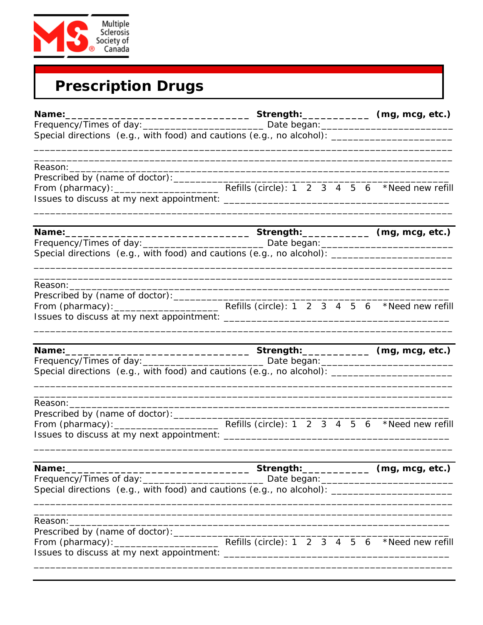

| <b>Prescription Drugs</b> |  |
|---------------------------|--|
|---------------------------|--|

| Name:                                                                                                                           |  |  |  |  |  |
|---------------------------------------------------------------------------------------------------------------------------------|--|--|--|--|--|
|                                                                                                                                 |  |  |  |  |  |
| Special directions (e.g., with food) and cautions (e.g., no alcohol): _____________________________                             |  |  |  |  |  |
|                                                                                                                                 |  |  |  |  |  |
|                                                                                                                                 |  |  |  |  |  |
|                                                                                                                                 |  |  |  |  |  |
|                                                                                                                                 |  |  |  |  |  |
| Special directions (e.g., with food) and cautions (e.g., no alcohol): _____________________________                             |  |  |  |  |  |
|                                                                                                                                 |  |  |  |  |  |
|                                                                                                                                 |  |  |  |  |  |
|                                                                                                                                 |  |  |  |  |  |
|                                                                                                                                 |  |  |  |  |  |
| Name: 1980 1990 1990 1991                                                                                                       |  |  |  |  |  |
|                                                                                                                                 |  |  |  |  |  |
| Special directions (e.g., with food) and cautions (e.g., no alcohol): _____________________________                             |  |  |  |  |  |
|                                                                                                                                 |  |  |  |  |  |
|                                                                                                                                 |  |  |  |  |  |
|                                                                                                                                 |  |  |  |  |  |
| Name:                                                                                                                           |  |  |  |  |  |
|                                                                                                                                 |  |  |  |  |  |
| Special directions (e.g., with food) and cautions (e.g., no alcohol): _____________________________                             |  |  |  |  |  |
| Reason:<br><u> 1980 - Jan Barat, margaret amerikan basar dan berasal di sebagai basa dan basa dan berasal dan berasal dalam</u> |  |  |  |  |  |
|                                                                                                                                 |  |  |  |  |  |
|                                                                                                                                 |  |  |  |  |  |
|                                                                                                                                 |  |  |  |  |  |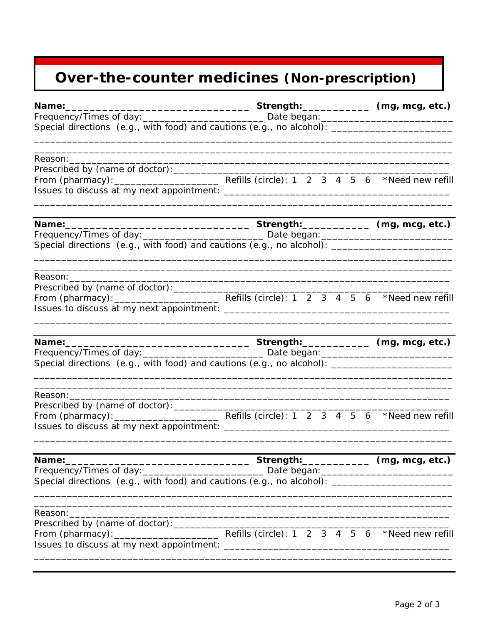## Over-the-counter medicines (Non-prescription)

| Special directions (e.g., with food) and cautions (e.g., no alcohol): _____________________________                                                                                                         |  |  |  |  |  |  |  |  |  |  |
|-------------------------------------------------------------------------------------------------------------------------------------------------------------------------------------------------------------|--|--|--|--|--|--|--|--|--|--|
|                                                                                                                                                                                                             |  |  |  |  |  |  |  |  |  |  |
|                                                                                                                                                                                                             |  |  |  |  |  |  |  |  |  |  |
|                                                                                                                                                                                                             |  |  |  |  |  |  |  |  |  |  |
| Frequency/Times of day: __________________________________ Date began: _____________________________<br>Special directions (e.g., with food) and cautions (e.g., no alcohol): _____________________________ |  |  |  |  |  |  |  |  |  |  |
|                                                                                                                                                                                                             |  |  |  |  |  |  |  |  |  |  |
|                                                                                                                                                                                                             |  |  |  |  |  |  |  |  |  |  |
|                                                                                                                                                                                                             |  |  |  |  |  |  |  |  |  |  |
| Special directions (e.g., with food) and cautions (e.g., no alcohol): _____________________________                                                                                                         |  |  |  |  |  |  |  |  |  |  |
| Reason: _________                                                                                                                                                                                           |  |  |  |  |  |  |  |  |  |  |
|                                                                                                                                                                                                             |  |  |  |  |  |  |  |  |  |  |
| ________________________________Strength:______________________(mg, mcg, etc.)<br>Name:                                                                                                                     |  |  |  |  |  |  |  |  |  |  |
| Special directions (e.g., with food) and cautions (e.g., no alcohol): _____________________________                                                                                                         |  |  |  |  |  |  |  |  |  |  |
| Reason: Reason:                                                                                                                                                                                             |  |  |  |  |  |  |  |  |  |  |
|                                                                                                                                                                                                             |  |  |  |  |  |  |  |  |  |  |
|                                                                                                                                                                                                             |  |  |  |  |  |  |  |  |  |  |